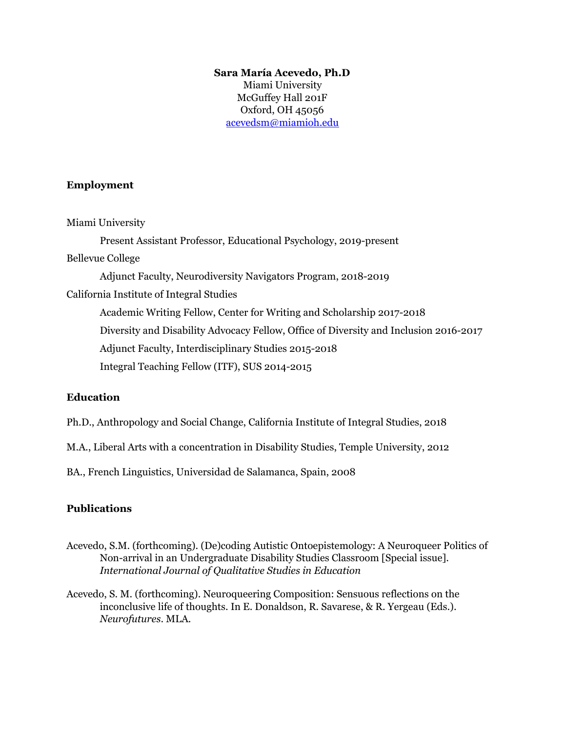### **Sara María Acevedo, Ph.D** Miami University McGuffey Hall 201F Oxford, OH 45056

[acevedsm@miamioh.edu](mailto:acevedsm@miamioh.edu)

## **Employment**

Miami University

Present Assistant Professor, Educational Psychology, 2019-present

Bellevue College

Adjunct Faculty, Neurodiversity Navigators Program, 2018-2019

California Institute of Integral Studies

Academic Writing Fellow, Center for Writing and Scholarship 2017-2018 Diversity and Disability Advocacy Fellow, Office of Diversity and Inclusion 2016-2017 Adjunct Faculty, Interdisciplinary Studies 2015-2018 Integral Teaching Fellow (ITF), SUS 2014-2015

# **Education**

- Ph.D., Anthropology and Social Change, California Institute of Integral Studies, 2018
- M.A., Liberal Arts with a concentration in Disability Studies, Temple University, 2012

BA., French Linguistics, Universidad de Salamanca, Spain, 2008

# **Publications**

- Acevedo, S.M. (forthcoming). (De)coding Autistic Ontoepistemology: A Neuroqueer Politics of Non-arrival in an Undergraduate Disability Studies Classroom [Special issue]. *International Journal of Qualitative Studies in Education*
- Acevedo, S. M. (forthcoming). Neuroqueering Composition: Sensuous reflections on the inconclusive life of thoughts. In E. Donaldson, R. Savarese, & R. Yergeau (Eds.). *Neurofutures*. MLA.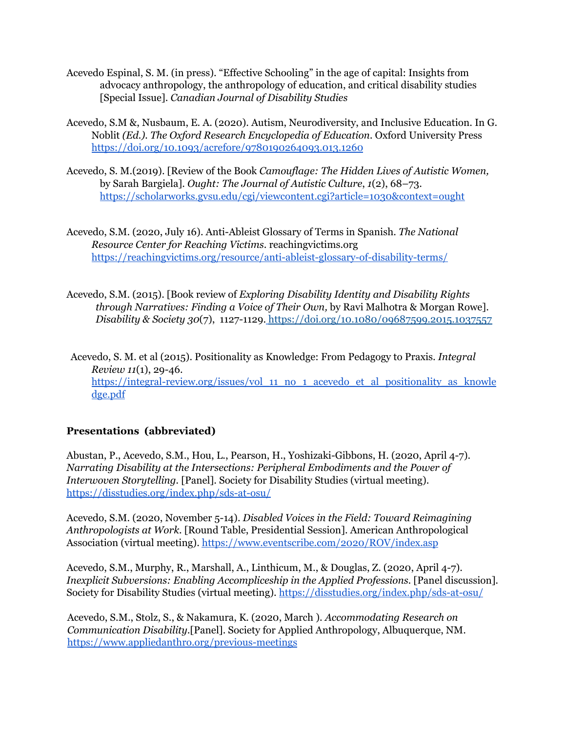- Acevedo Espinal, S. M. (in press). "Effective Schooling" in the age of capital: Insights from advocacy anthropology, the anthropology of education, and critical disability studies [Special Issue]. *Canadian Journal of Disability Studies*
- Acevedo, S.M &, Nusbaum, E. A. (2020). Autism, Neurodiversity, and Inclusive Education. In G. Noblit *(Ed.). The Oxford Research Encyclopedia of Education.* Oxford University Press <https://doi.org/10.1093/acrefore/9780190264093.013.1260>
- Acevedo, S. M.(2019). [Review of the Book *Camouflage: The Hidden Lives of Autistic Women,* by Sarah Bargiela]. *Ought: The Journal of Autistic Culture*, *1*(2), 68–73. <https://scholarworks.gvsu.edu/cgi/viewcontent.cgi?article=1030&context=ought>
- Acevedo, S.M. (2020, July 16). Anti-Ableist Glossary of Terms in Spanish. *The National Resource Center for Reaching Victims*. reachingvictims.org <https://reachingvictims.org/resource/anti-ableist-glossary-of-disability-terms/>
- Acevedo, S.M. (2015). [Book review of *Exploring Disability Identity and Disability Rights through Narratives: Finding a Voice of Their Own,* by Ravi Malhotra & Morgan Rowe]. *Disability & Society 30*(7), 1127-1129. <https://doi.org/10.1080/09687599.2015.1037557>

Acevedo, S. M. et al (2015). Positionality as Knowledge: From Pedagogy to Praxis. *Integral Review 11*(1), 29-46. [https://integral-review.org/issues/vol\\_11\\_no\\_1\\_acevedo\\_et\\_al\\_positionality\\_as\\_knowle](https://integral-review.org/issues/vol_11_no_1_acevedo_et_al_positionality_as_knowledge.pdf) [dge.pdf](https://integral-review.org/issues/vol_11_no_1_acevedo_et_al_positionality_as_knowledge.pdf)

# **Presentations (abbreviated)**

Abustan, P., Acevedo, S.M., Hou, L., Pearson, H., Yoshizaki-Gibbons, H. (2020, April 4-7). *Narrating Disability at the Intersections: Peripheral Embodiments and the Power of Interwoven Storytelling.* [Panel]. Society for Disability Studies (virtual meeting). <https://disstudies.org/index.php/sds-at-osu/>

Acevedo, S.M. (2020, November 5-14). *Disabled Voices in the Field: Toward Reimagining Anthropologists at Work*. [Round Table, Presidential Session]. American Anthropological Association (virtual meeting). <https://www.eventscribe.com/2020/ROV/index.asp>

Acevedo, S.M., Murphy, R., Marshall, A., Linthicum, M., & Douglas, Z. (2020, April 4-7). *Inexplicit Subversions: Enabling Accompliceship in the Applied Professions.* [Panel discussion]*.* Society for Disability Studies (virtual meeting). <https://disstudies.org/index.php/sds-at-osu/>

Acevedo, S.M., Stolz, S., & Nakamura, K. (2020, March ). *Accommodating Research on Communication Disability.*[Panel]. Society for Applied Anthropology, Albuquerque, NM. <https://www.appliedanthro.org/previous-meetings>